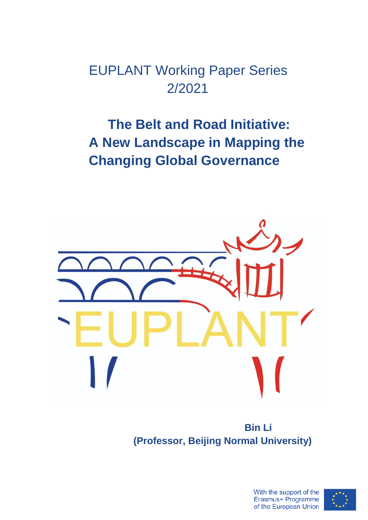EUPLANT Working Paper Series 2/2021

## **The Belt and Road Initiative: A New Landscape in Mapping the Changing Global Governance**



**Bin Li (Professor, Beijing Normal University)**

> With the support of the Erasmus+ Programme of the European Union

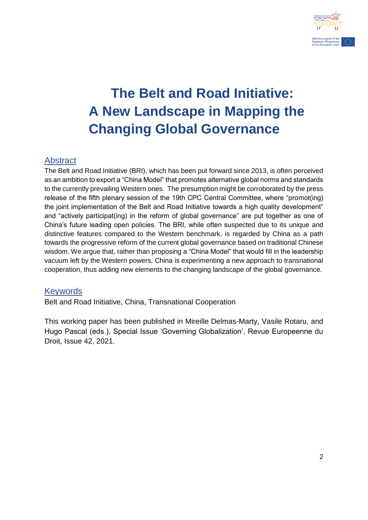

# **The Belt and Road Initiative: A New Landscape in Mapping the Changing Global Governance**

## Abstract

The Belt and Road Initiative (BRI), which has been put forward since 2013, is often perceived as an ambition to export a "China Model" that promotes alternative global norms and standards to the currently prevailing Western ones. The presumption might be corroborated by the press release of the fifth plenary session of the 19th CPC Central Committee, where "promot(ing) the joint implementation of the Belt and Road Initiative towards a high quality development" and "actively participat(ing) in the reform of global governance" are put together as one of China's future leading open policies. The BRI, while often suspected due to its unique and distinctive features compared to the Western benchmark, is regarded by China as a path towards the progressive reform of the current global governance based on traditional Chinese wisdom. We argue that, rather than proposing a "China Model" that would fill in the leadership vacuum left by the Western powers, China is experimenting a new approach to transnational cooperation, thus adding new elements to the changing landscape of the global governance.

## Keywords

Belt and Road Initiative, China, Transnational Cooperation

This working paper has been published in Mireille Delmas-Marty, Vasile Rotaru, and Hugo Pascal (eds.), Special Issue 'Governing Globalization', Revue Europeenne du Droit, Issue 42, 2021.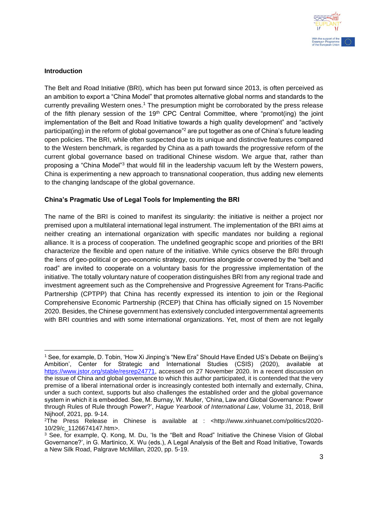

#### **Introduction**

The Belt and Road Initiative (BRI), which has been put forward since 2013, is often perceived as an ambition to export a "China Model" that promotes alternative global norms and standards to the currently prevailing Western ones.<sup>1</sup> The presumption might be corroborated by the press release of the fifth plenary session of the 19<sup>th</sup> CPC Central Committee, where "promot(ing) the joint implementation of the Belt and Road Initiative towards a high quality development" and "actively participat(ing) in the reform of global governance"<sup>2</sup> are put together as one of China's future leading open policies. The BRI, while often suspected due to its unique and distinctive features compared to the Western benchmark, is regarded by China as a path towards the progressive reform of the current global governance based on traditional Chinese wisdom. We argue that, rather than proposing a "China Model"<sup>3</sup> that would fill in the leadership vacuum left by the Western powers, China is experimenting a new approach to transnational cooperation, thus adding new elements to the changing landscape of the global governance.

#### **China's Pragmatic Use of Legal Tools for Implementing the BRI**

The name of the BRI is coined to manifest its singularity: the initiative is neither a project nor premised upon a multilateral international legal instrument. The implementation of the BRI aims at neither creating an international organization with specific mandates nor building a regional alliance. It is a process of cooperation. The undefined geographic scope and priorities of the BRI characterize the flexible and open nature of the initiative. While cynics observe the BRI through the lens of geo-political or geo-economic strategy, countries alongside or covered by the "belt and road" are invited to cooperate on a voluntary basis for the progressive implementation of the initiative. The totally voluntary nature of cooperation distinguishes BRI from any regional trade and investment agreement such as the Comprehensive and Progressive Agreement for Trans-Pacific Partnership (CPTPP) that China has recently expressed its intention to join or the Regional Comprehensive Economic Partnership (RCEP) that China has officially signed on 15 November 2020. Besides, the Chinese government has extensively concluded intergovernmental agreements with BRI countries and with some international organizations. Yet, most of them are not legally

<sup>-</sup><sup>1</sup> See, for example, D. Tobin, 'How Xi Jinping's "New Era" Should Have Ended US's Debate on Beijing's Ambition', Center for Strategic and International Studies (CSIS) (2020), available at [https://www.jstor.org/stable/resrep24771,](https://www.jstor.org/stable/resrep24771) accessed on 27 November 2020. In a recent discussion on the issue of China and global governance to which this author participated, it is contended that the very premise of a liberal international order is increasingly contested both internally and externally, China, under a such context, supports but also challenges the established order and the global governance system in which it is embedded. See, M. Burnay, W. Muller, 'China, Law and Global Governance: Power through Rules of Rule through Power?', *Hague Yearbook of International Law*, Volume 31, 2018, Brill Nijhoof, 2021, pp. 9-14.

<sup>2</sup>The Press Release in Chinese is available at : <http://www.xinhuanet.com/politics/2020- 10/29/c\_1126674147.htm>.

<sup>&</sup>lt;sup>3</sup> See, for example, Q. Kong, M. Du, 'Is the "Belt and Road" Initiative the Chinese Vision of Global Governance?', in G. Martinico, X. Wu (eds.), A Legal Analysis of the Belt and Road Initiative, Towards a New Silk Road, Palgrave McMillan, 2020, pp. 5-19.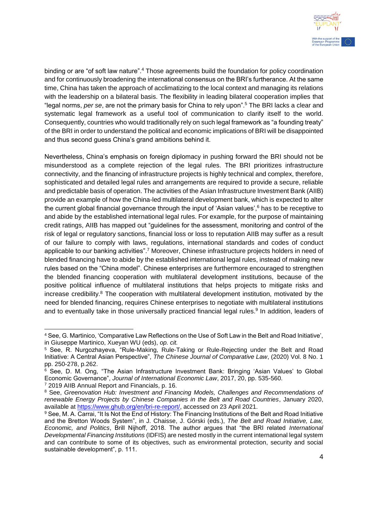

binding or are "of soft law nature".<sup>4</sup> Those agreements build the foundation for policy coordination and for continuously broadening the international consensus on the BRI's furtherance. At the same time, China has taken the approach of acclimatizing to the local context and managing its relations with the leadership on a bilateral basis. The flexibility in leading bilateral cooperation implies that "legal norms, *per se*, are not the primary basis for China to rely upon".<sup>5</sup> The BRI lacks a clear and systematic legal framework as a useful tool of communication to clarify itself to the world. Consequently, countries who would traditionally rely on such legal framework as "a founding treaty" of the BRI in order to understand the political and economic implications of BRI will be disappointed and thus second guess China's grand ambitions behind it.

Nevertheless, China's emphasis on foreign diplomacy in pushing forward the BRI should not be misunderstood as a complete rejection of the legal rules. The BRI prioritizes infrastructure connectivity, and the financing of infrastructure projects is highly technical and complex, therefore, sophisticated and detailed legal rules and arrangements are required to provide a secure, reliable and predictable basis of operation. The activities of the Asian Infrastructure Investment Bank (AIIB) provide an example of how the China-led multilateral development bank, which is expected to alter the current global financial governance through the input of 'Asian values',<sup>6</sup> has to be receptive to and abide by the established international legal rules. For example, for the purpose of maintaining credit ratings, AIIB has mapped out "guidelines for the assessment, monitoring and control of the risk of legal or regulatory sanctions, financial loss or loss to reputation AIIB may suffer as a result of our failure to comply with laws, regulations, international standards and codes of conduct applicable to our banking activities".<sup>7</sup> Moreover, Chinese infrastructure projects holders in need of blended financing have to abide by the established international legal rules, instead of making new rules based on the "China model". Chinese enterprises are furthermore encouraged to strengthen the blended financing cooperation with multilateral development institutions, because of the positive political influence of multilateral institutions that helps projects to mitigate risks and increase credibility.<sup>8</sup> The cooperation with multilateral development institution, motivated by the need for blended financing, requires Chinese enterprises to negotiate with multilateral institutions and to eventually take in those universally practiced financial legal rules.<sup>9</sup> In addition, leaders of

<sup>4</sup> See, G. Martinico, 'Comparative Law Reflections on the Use of Soft Law in the Belt and Road Initiative', in Giuseppe Martinico, Xueyan WU (eds), *op. cit.*

<sup>5</sup> See, R. Nurgozhayeva, "Rule-Making, Rule-Taking or Rule-Rejecting under the Belt and Road Initiative: A Central Asian Perspective", *The Chinese Journal of Comparative Law*, (2020) Vol. 8 No. 1 pp. 250-278, p.262.

<sup>&</sup>lt;sup>6</sup> See, D. M. Ong, "The Asian Infrastructure Investment Bank: Bringing 'Asian Values' to Global Economic Governance", *Journal of International Economic Law*, 2017, 20, pp. 535-560. <sup>7</sup> 2019 AIIB Annual Report and Financials, p. 16.

<sup>8</sup> See, *Greenovation Hub: Investment and Financing Models, Challenges and Recommendations of renewable Energy Projects by Chinese Companies in the Belt and Road Countries*, January 2020, available at [https://www.ghub.org/en/bri-re-report/,](https://www.ghub.org/en/bri-re-report/) accessed on 23 April 2021.

<sup>9</sup> See, M. A. Carrai, "It Is Not the End of History: The Financing Institutions of the Belt and Road Initiative and the Bretton Woods System", in J. Chaisse, J. Górski (eds.), *The Belt and Road Initiative, Law, Economic, and Politics*, Brill Nijhoff, 2018. The author argues that "the BRI related *International Developmental Financing Institutions* (IDFIS) are nested mostly in the current international legal system and can contribute to some of its objectives, such as environmental protection, security and social sustainable development", p. 111.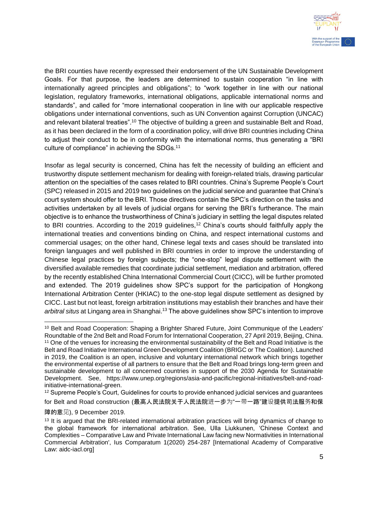

the BRI counties have recently expressed their endorsement of the UN Sustainable Development Goals. For that purpose, the leaders are determined to sustain cooperation "in line with internationally agreed principles and obligations"; to "work together in line with our national legislation, regulatory frameworks, international obligations, applicable international norms and standards", and called for "more international cooperation in line with our applicable respective obligations under international conventions, such as UN Convention against Corruption (UNCAC) and relevant bilateral treaties".<sup>10</sup> The objective of building a green and sustainable Belt and Road, as it has been declared in the form of a coordination policy, will drive BRI countries including China to adjust their conduct to be in conformity with the international norms, thus generating a "BRI culture of compliance" in achieving the SDGs.<sup>11</sup>

Insofar as legal security is concerned, China has felt the necessity of building an efficient and trustworthy dispute settlement mechanism for dealing with foreign-related trials, drawing particular attention on the specialties of the cases related to BRI countries. China's Supreme People's Court (SPC) released in 2015 and 2019 two guidelines on the judicial service and guarantee that China's court system should offer to the BRI. Those directives contain the SPC's direction on the tasks and activities undertaken by all levels of judicial organs for serving the BRI's furtherance. The main objective is to enhance the trustworthiness of China's judiciary in settling the legal disputes related to BRI countries. According to the 2019 guidelines,<sup>12</sup> China's courts should faithfully apply the international treaties and conventions binding on China, and respect international customs and commercial usages; on the other hand, Chinese legal texts and cases should be translated into foreign languages and well published in BRI countries in order to improve the understanding of Chinese legal practices by foreign subjects; the "one-stop" legal dispute settlement with the diversified available remedies that coordinate judicial settlement, mediation and arbitration, offered by the recently established China International Commercial Court (CICC), will be further promoted and extended. The 2019 guidelines show SPC's support for the participation of Hongkong International Arbitration Center (HKIAC) to the one-stop legal dispute settlement as designed by CICC. Last but not least, foreign arbitration institutions may establish their branches and have their *arbitral situs* at Lingang area in Shanghai.<sup>13</sup> The above guidelines show SPC's intention to improve

<sup>-</sup><sup>10</sup> Belt and Road Cooperation: Shaping a Brighter Shared Future, Joint Communique of the Leaders' Roundtable of the 2nd Belt and Road Forum for International Cooperation, 27 April 2019, Beijing, China. <sup>11</sup> One of the venues for increasing the environmental sustainability of the Belt and Road Initiative is the Belt and Road Initiative International Green Development Coalition (BRIGC or The Coalition). Launched in 2019, the Coalition is an open, inclusive and voluntary international network which brings together the environmental expertise of all partners to ensure that the Belt and Road brings long-term green and sustainable development to all concerned countries in support of the 2030 Agenda for Sustainable Development. See, https://www.unep.org/regions/asia-and-pacific/regional-initiatives/belt-and-roadinitiative-international-green.

<sup>&</sup>lt;sup>12</sup> Supreme People's Court, Guidelines for courts to provide enhanced judicial services and guarantees for Belt and Road construction (最高人民法院关于人民法院进一步为"一带一路"建设提供司法服务和保

障的意见), 9 December 2019.

<sup>&</sup>lt;sup>13</sup> It is argued that the BRI-related international arbitration practices will bring dynamics of change to the global framework for international arbitration. See, Ulla Liukkunen, 'Chinese Context and Complexities – Comparative Law and Private International Law facing new Normativities in International Commercial Arbitration', Ius Comparatum 1(2020) 254-287 [International Academy of Comparative Law: aidc-iacl.org]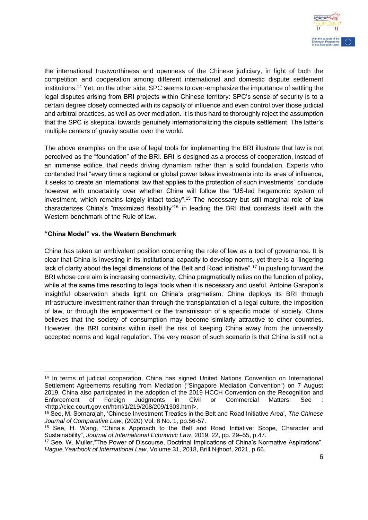

the international trustworthiness and openness of the Chinese judiciary, in light of both the competition and cooperation among different international and domestic dispute settlement institutions.<sup>14</sup> Yet, on the other side, SPC seems to over-emphasize the importance of settling the legal disputes arising from BRI projects within Chinese territory: SPC's sense of security is to a certain degree closely connected with its capacity of influence and even control over those judicial and arbitral practices, as well as over mediation. It is thus hard to thoroughly reject the assumption that the SPC is skeptical towards genuinely internationalizing the dispute settlement. The latter's multiple centers of gravity scatter over the world.

The above examples on the use of legal tools for implementing the BRI illustrate that law is not perceived as the "foundation" of the BRI. BRI is designed as a process of cooperation, instead of an immense edifice, that needs driving dynamism rather than a solid foundation. Experts who contended that "every time a regional or global power takes investments into its area of influence, it seeks to create an international law that applies to the protection of such investments" conclude however with uncertainty over whether China will follow the "US-led hegemonic system of investment, which remains largely intact today".<sup>15</sup> The necessary but still marginal role of law characterizes China's "maximized flexibility"<sup>16</sup> in leading the BRI that contrasts itself with the Western benchmark of the Rule of law.

#### **"China Model" vs. the Western Benchmark**

China has taken an ambivalent position concerning the role of law as a tool of governance. It is clear that China is investing in its institutional capacity to develop norms, yet there is a "lingering lack of clarity about the legal dimensions of the Belt and Road initiative".<sup>17</sup> In pushing forward the BRI whose core aim is increasing connectivity, China pragmatically relies on the function of policy, while at the same time resorting to legal tools when it is necessary and useful. Antoine Garapon's insightful observation sheds light on China's pragmatism: China deploys its BRI through infrastructure investment rather than through the transplantation of a legal culture, the imposition of law, or through the empowerment or the transmission of a specific model of society. China believes that the society of consumption may become similarly attractive to other countries. However, the BRI contains within itself the risk of keeping China away from the universally accepted norms and legal regulation. The very reason of such scenario is that China is still not a

<sup>-</sup><sup>14</sup> In terms of judicial cooperation, China has signed United Nations Convention on International Settlement Agreements resulting from Mediation ("Singapore Mediation Convention") on 7 August 2019. China also participated in the adoption of the 2019 HCCH Convention on the Recognition and Enforcement of Foreign Judgments in Civil or Commercial Matters. See <http://cicc.court.gov.cn/html/1/219/208/209/1303.html>.

<sup>15</sup> See, M. Sornarajah, 'Chinese Investment Treaties in the Belt and Road Initiative Area', *The Chinese Journal of Comparative Law*, (2020) Vol. 8 No. 1, pp.56-57.

<sup>16</sup> See, H. Wang, "China's Approach to the Belt and Road Initiative: Scope, Character and Sustainability", *Journal of International Economic Law*, 2019, 22, pp. 29–55, p.47.

<sup>17</sup> See, W. Muller,"The Power of Discourse, Doctrinal Implications of China's Normative Aspirations", *Hague Yearbook of International Law*, Volume 31, 2018, Brill Nijhoof, 2021, p.66.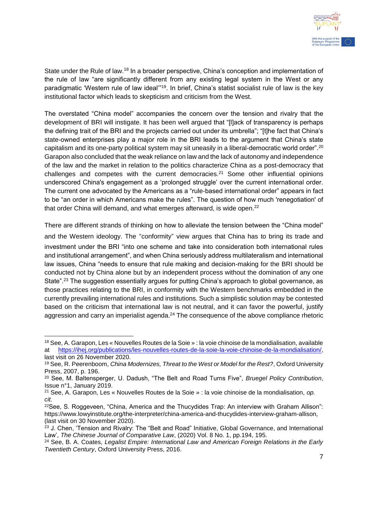

State under the Rule of law.<sup>18</sup> In a broader perspective, China's conception and implementation of the rule of law "are significantly different from any existing legal system in the West or any paradigmatic 'Western rule of law ideal'"<sup>19</sup>. In brief, China's statist socialist rule of law is the key institutional factor which leads to skepticism and criticism from the West.

The overstated "China model" accompanies the concern over the tension and rivalry that the development of BRI will instigate. It has been well argued that "[l]ack of transparency is perhaps the defining trait of the BRI and the projects carried out under its umbrella"; "[t]he fact that China's state-owned enterprises play a major role in the BRI leads to the argument that China's state capitalism and its one-party political system may sit uneasily in a liberal-democratic world order".<sup>20</sup> Garapon also concluded that the weak reliance on law and the lack of autonomy and independence of the law and the market in relation to the politics characterize China as a post-democracy that challenges and competes with the current democracies.<sup>21</sup> Some other influential opinions underscored China's engagement as a 'prolonged struggle' over the current international order. The current one advocated by the Americans as a "rule-based international order" appears in fact to be "an order in which Americans make the rules". The question of how much 'renegotiation' of that order China will demand, and what emerges afterward, is wide open.<sup>22</sup>

There are different strands of thinking on how to alleviate the tension between the "China model" and the Western ideology. The "conformity" view argues that China has to bring its trade and investment under the BRI "into one scheme and take into consideration both international rules and institutional arrangement", and when China seriously address multilateralism and international law issues, China "needs to ensure that rule making and decision-making for the BRI should be conducted not by China alone but by an independent process without the domination of any one State".<sup>23</sup> The suggestion essentially argues for putting China's approach to global governance, as those practices relating to the BRI, in conformity with the Western benchmarks embedded in the currently prevailing international rules and institutions. Such a simplistic solution may be contested based on the criticism that international law is not neutral, and it can favor the powerful, justify aggression and carry an imperialist agenda.<sup>24</sup> The consequence of the above compliance rhetoric

<sup>18</sup> See, A. Garapon, Les « Nouvelles Routes de la Soie » : la voie chinoise de la mondialisation, available at [https://ihej.org/publications/les-nouvelles-routes-de-la-soie-la-voie-chinoise-de-la-mondialisation/,](https://ihej.org/publications/les-nouvelles-routes-de-la-soie-la-voie-chinoise-de-la-mondialisation/) last visit on 26 November 2020.

<sup>19</sup> See, R. Peerenboom, *China Modernizes, Threat to the West or Model for the Rest?*, Oxford University Press, 2007, p. 196.

<sup>20</sup> See, M. Baltensperger, U. Dadush, "The Belt and Road Turns Five", *Bruegel Policy Contribution*, Issue n°1, January 2019.

<sup>21</sup> See, A. Garapon, Les « Nouvelles Routes de la Soie » : la voie chinoise de la mondialisation, *op. cit.*

<sup>22</sup>See, S. Roggeveen, "China, America and the Thucydides Trap: An interview with Graham Allison": https://www.lowyinstitute.org/the-interpreter/china-america-and-thucydides-interview-graham-allison, (last visit on 30 November 2020).

<sup>&</sup>lt;sup>23</sup> J. Chen, 'Tension and Rivalry: The "Belt and Road" Initiative, Global Governance, and International Law', *The Chinese Journal of Comparative Law*, (2020) Vol. 8 No. 1, pp.194, 195.

<sup>24</sup> See, B. A. Coates, *Legalist Empire: International Law and American Foreign Relations in the Early Twentieth Century*, Oxford University Press, 2016.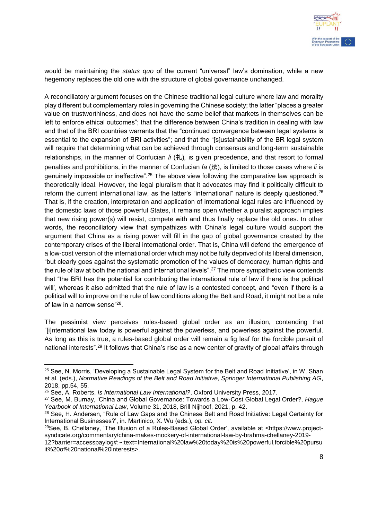

would be maintaining the *status quo* of the current "universal" law's domination, while a new hegemony replaces the old one with the structure of global governance unchanged.

A reconciliatory argument focuses on the Chinese traditional legal culture where law and morality play different but complementary roles in governing the Chinese society; the latter "places a greater value on trustworthiness, and does not have the same belief that markets in themselves can be left to enforce ethical outcomes"; that the difference between China's tradition in dealing with law and that of the BRI countries warrants that the "continued convergence between legal systems is essential to the expansion of BRI activities"; and that the "[s]ustainability of the BR legal system will require that determining what can be achieved through consensus and long-term sustainable relationships, in the manner of Confucian *li* (礼)*,* is given precedence, and that resort to formal penalties and prohibitions, in the manner of Confucian *fa* (法), is limited to those cases where *li* is genuinely impossible or ineffective".<sup>25</sup> The above view following the comparative law approach is theoretically ideal. However, the legal pluralism that it advocates may find it politically difficult to reform the current international law, as the latter's "international" nature is deeply questioned.<sup>26</sup> That is, if the creation, interpretation and application of international legal rules are influenced by the domestic laws of those powerful States, it remains open whether a pluralist approach implies that new rising power(s) will resist, compete with and thus finally replace the old ones. In other words, the reconciliatory view that sympathizes with China's legal culture would support the argument that China as a rising power will fill in the gap of global governance created by the contemporary crises of the liberal international order. That is, China will defend the emergence of a low-cost version of the international order which may not be fully deprived of its liberal dimension, "but clearly goes against the systematic promotion of the values of democracy, human rights and the rule of law at both the national and international levels".<sup>27</sup> The more sympathetic view contends that "the BRI has the potential for contributing the international rule of law if there is the political will', whereas it also admitted that the rule of law is a contested concept, and "even if there is a political will to improve on the rule of law conditions along the Belt and Road, it might not be a rule of law in a narrow sense"<sup>28</sup>.

The pessimist view perceives rules-based global order as an illusion, contending that "[i]nternational law today is powerful against the powerless, and powerless against the powerful. As long as this is true, a rules-based global order will remain a fig leaf for the forcible pursuit of national interests".<sup>29</sup> It follows that China's rise as a new center of gravity of global affairs through

<sup>&</sup>lt;sup>25</sup> See, N. Morris, 'Developing a Sustainable Legal System for the Belt and Road Initiative', in W. Shan et al. (eds.), *Normative Readings of the Belt and Road Initiative, Springer International Publishing AG*, 2018, pp.54, 55.

<sup>26</sup> See, A. Roberts, *Is International Law International?*, Oxford University Press, 2017.

<sup>27</sup> See, M. Burnay, 'China and Global Governance: Towards a Low-Cost Global Legal Order?, *Hague Yearbook of International Law*, Volume 31, 2018, Brill Nijhoof, 2021, p. 42.

<sup>28</sup> See, H. Andersen, "Rule of Law Gaps and the Chinese Belt and Road Initiative: Legal Certainty for International Businesses?', in. Martinico, X. Wu (eds.), *op. cit.*

<sup>29</sup>See, B. Chellaney, 'The Illusion of a Rules-Based Global Order', available at <https://www.projectsyndicate.org/commentary/china-makes-mockery-of-international-law-by-brahma-chellaney-2019-

<sup>12?</sup>barrier=accesspaylog#:~:text=International%20law%20today%20is%20powerful,forcible%20pursu it%20of%20national%20interests>.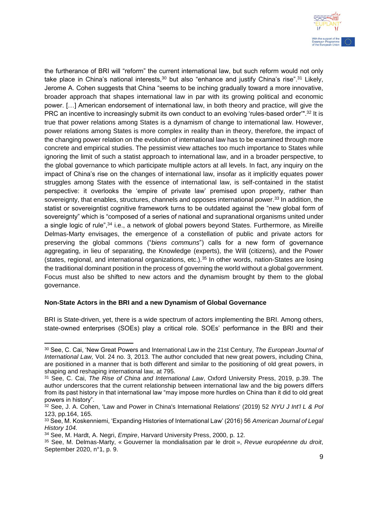

the furtherance of BRI will "reform" the current international law, but such reform would not only take place in China's national interests,  $30$  but also "enhance and justify China's rise".  $31$  Likely, Jerome A. Cohen suggests that China "seems to be inching gradually toward a more innovative, broader approach that shapes international law in par with its growing political and economic power. […] American endorsement of international law, in both theory and practice, will give the PRC an incentive to increasingly submit its own conduct to an evolving 'rules-based order".<sup>32</sup> It is true that power relations among States is a dynamism of change to international law. However, power relations among States is more complex in reality than in theory, therefore, the impact of the changing power relation on the evolution of international law has to be examined through more concrete and empirical studies. The pessimist view attaches too much importance to States while ignoring the limit of such a statist approach to international law, and in a broader perspective, to the global governance to which participate multiple actors at all levels. In fact, any inquiry on the impact of China's rise on the changes of international law, insofar as it implicitly equates power struggles among States with the essence of international law, is self-contained in the statist perspective: it overlooks the 'empire of private law' premised upon property, rather than sovereignty, that enables, structures, channels and opposes international power.<sup>33</sup> In addition, the statist or sovereigntist cognitive framework turns to be outdated against the "new global form of sovereignty" which is "composed of a series of national and supranational organisms united under a single logic of rule",<sup>34</sup> i.e., a network of global powers beyond States. Furthermore, as Mireille Delmas-Marty envisages, the emergence of a constellation of public and private actors for preserving the global commons ("*biens communs*") calls for a new form of governance aggregating, in lieu of separating, the Knowledge (experts), the Will (citizens), and the Power (states, regional, and international organizations, etc.).<sup>35</sup> In other words, nation-States are losing the traditional dominant position in the process of governing the world without a global government. Focus must also be shifted to new actors and the dynamism brought by them to the global governance.

#### **Non-State Actors in the BRI and a new Dynamism of Global Governance**

BRI is State-driven, yet, there is a wide spectrum of actors implementing the BRI. Among others, state-owned enterprises (SOEs) play a critical role. SOEs' performance in the BRI and their

<sup>-</sup><sup>30</sup> See, C. Cai, 'New Great Powers and International Law in the 21st Century, *The European Journal of International Law,* Vol. 24 no. 3, 2013. The author concluded that new great powers, including China, are positioned in a manner that is both different and similar to the positioning of old great powers, in shaping and reshaping international law, at 795.

<sup>31</sup> See, C. Cai, *The Rise of China and International Law*, Oxford University Press, 2019, p.39. The author underscores that the current relationship between international law and the big powers differs from its past history in that international law "may impose more hurdles on China than it did to old great powers in history".

<sup>32</sup> See, J. A. Cohen, 'Law and Power in China's International Relations' (2019) 52 *NYU J Int'l L & Pol* 123, pp.164, 165.

<sup>33</sup> See, M. Koskenniemi, 'Expanding Histories of International Law' (2016) 56 *American Journal of Legal History 104.*

<sup>34</sup> See, M. Hardt, A. Negri, *Empire*, Harvard University Press, 2000, p. 12.

<sup>35</sup> See, M. Delmas-Marty, « Gouverner la mondialisation par le droit », *Revue européenne du droit*, September 2020, n°1, p. 9.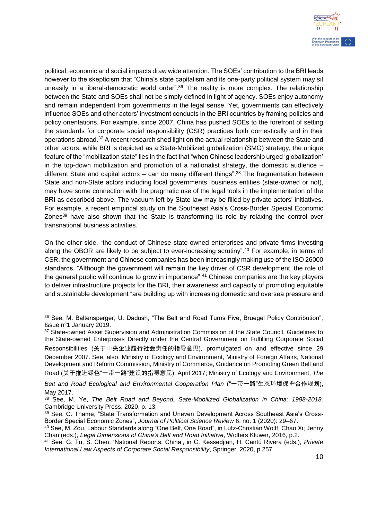

political, economic and social impacts draw wide attention. The SOEs' contribution to the BRI leads however to the skepticism that "China's state capitalism and its one-party political system may sit uneasily in a liberal-democratic world order".<sup>36</sup> The reality is more complex. The relationship between the State and SOEs shall not be simply defined in light of agency. SOEs enjoy autonomy and remain independent from governments in the legal sense. Yet, governments can effectively influence SOEs and other actors' investment conducts in the BRI countries by framing policies and policy orientations. For example, since 2007, China has pushed SOEs to the forefront of setting the standards for corporate social responsibility (CSR) practices both domestically and in their operations abroad.<sup>37</sup> A recent research shed light on the actual relationship between the State and other actors: while BRI is depicted as a State-Mobilized globalization (SMG) strategy, the unique feature of the "mobilization state" lies in the fact that "when Chinese leadership urged 'globalization' in the top-down mobilization and promotion of a nationalist strategy, the domestic audience – different State and capital actors – can do many different things".<sup>38</sup> The fragmentation between State and non-State actors including local governments, business entities (state-owned or not), may have some connection with the pragmatic use of the legal tools in the implementation of the BRI as described above. The vacuum left by State law may be filled by private actors' initiatives. For example, a recent empirical study on the Southeast Asia's Cross-Border Special Economic Zones $39$  have also shown that the State is transforming its role by relaxing the control over transnational business activities.

On the other side, "the conduct of Chinese state-owned enterprises and private firms investing along the OBOR are likely to be subject to ever-increasing scrutiny".<sup>40</sup> For example, in terms of CSR, the government and Chinese companies has been increasingly making use of the ISO 26000 standards. "Although the government will remain the key driver of CSR development, the role of the general public will continue to grow in importance".<sup>41</sup> Chinese companies are the key players to deliver infrastructure projects for the BRI, their awareness and capacity of promoting equitable and sustainable development "are building up with increasing domestic and oversea pressure and

Road (关于推进绿色"一带一路"建设的指导意见), April 2017; Ministry of Ecology and Environment, *The* 

<sup>-</sup><sup>36</sup> See, M. Baltensperger, U. Dadush, "The Belt and Road Turns Five, Bruegel Policy Contribution", Issue n°1 January 2019.

<sup>&</sup>lt;sup>37</sup> State-owned Asset Supervision and Administration Commission of the State Council, Guidelines to the State-owned Enterprises Directly under the Central Government on Fulfilling Corporate Social Responsibilities (关于中央企业履行社会责任的指导意见), promulgated on and effective since 29 December 2007. See, also, Ministry of Ecology and Environment, Ministry of Foreign Affairs, National Development and Reform Commission, Ministry of Commerce, Guidance on Promoting Green Belt and

*Belt and Road Ecological and Environmental Cooperation Plan* ("一带一路"生态环境保护合作规划), May 2017.

<sup>38</sup> See, M. Ye, *The Belt Road and Beyond, Sate-Mobilized Globalization in China: 1998-2018,* Cambridge University Press, 2020, p. 13.

<sup>39</sup> See, C. Thame, "State Transformation and Uneven Development Across Southeast Asia's Cross-Border Special Economic Zones", *Journal of Political Science Review* 6, no. 1 (2020): 29–67.

<sup>40</sup> See, M. Zou, Labour Standards along "One Belt, One Road", in Lutz-Christian Wolff; Chao Xi; Jenny Chan (eds.), *Legal Dimensions of China's Belt and Road Initiative*, Wolters Kluwer, 2016, p.2.

<sup>41</sup> See, G. Tu, S. Chen, 'National Reports, China', in C. Kessedjian, H. Cantú Rivera (eds.), *Private International Law Aspects of Corporate Social Responsibility*, Springer, 2020, p.257.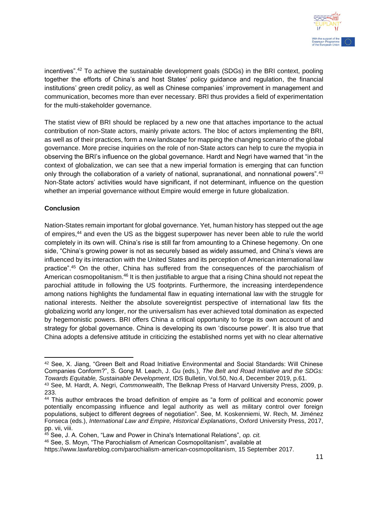

incentives".<sup>42</sup> To achieve the sustainable development goals (SDGs) in the BRI context, pooling together the efforts of China's and host States' policy guidance and regulation, the financial institutions' green credit policy, as well as Chinese companies' improvement in management and communication, becomes more than ever necessary. BRI thus provides a field of experimentation for the multi-stakeholder governance.

The statist view of BRI should be replaced by a new one that attaches importance to the actual contribution of non-State actors, mainly private actors. The bloc of actors implementing the BRI, as well as of their practices, form a new landscape for mapping the changing scenario of the global governance. More precise inquiries on the role of non-State actors can help to cure the myopia in observing the BRI's influence on the global governance. Hardt and Negri have warned that "in the context of globalization, we can see that a new imperial formation is emerging that can function only through the collaboration of a variety of national, supranational, and nonnational powers".<sup>43</sup> Non-State actors' activities would have significant, if not determinant, influence on the question whether an imperial governance without Empire would emerge in future globalization.

### **Conclusion**

-

Nation-States remain important for global governance. Yet, human history has stepped out the age of empires,<sup>44</sup> and even the US as the biggest superpower has never been able to rule the world completely in its own will. China's rise is still far from amounting to a Chinese hegemony. On one side, "China's growing power is not as securely based as widely assumed, and China's views are influenced by its interaction with the United States and its perception of American international law practice".<sup>45</sup> On the other, China has suffered from the consequences of the parochialism of American cosmopolitanism.<sup>46</sup> It is then justifiable to argue that a rising China should not repeat the parochial attitude in following the US footprints. Furthermore, the increasing interdependence among nations highlights the fundamental flaw in equating international law with the struggle for national interests. Neither the absolute sovereigntist perspective of international law fits the globalizing world any longer, nor the universalism has ever achieved total domination as expected by hegemonistic powers. BRI offers China a critical opportunity to forge its own account of and strategy for global governance. China is developing its own 'discourse power'. It is also true that China adopts a defensive attitude in criticizing the established norms yet with no clear alternative

<sup>42</sup> See, X. Jiang, "Green Belt and Road Initiative Environmental and Social Standards: Will Chinese Companies Conform?", S. Gong M. Leach, J. Gu (eds.), *The Belt and Road Initiative and the SDGs: Towards Equitable, Sustainable Development*, IDS Bulletin, Vol.50, No.4, December 2019, p.61. <sup>43</sup> See, M. Hardt, A. Negri, *Commonwealth*, The Belknap Press of Harvard University Press, 2009, p. 233.

<sup>44</sup> This author embraces the broad definition of empire as "a form of political and economic power potentially encompassing influence and legal authority as well as military control over foreign populations, subject to different degrees of negotiation". See, M. Koskenniemi, W. Rech, M. Jiménez Fonseca (eds.), *International Law and Empire, Historical Explanations*, Oxford University Press, 2017, pp. vii, viii.

<sup>45</sup> See, J. A. Cohen, "Law and Power in China's International Relations", *op. cit.* 

<sup>46</sup> See, S. Moyn, "The Parochialism of American Cosmopolitanism", available at

https://www.lawfareblog.com/parochialism-american-cosmopolitanism, 15 September 2017.